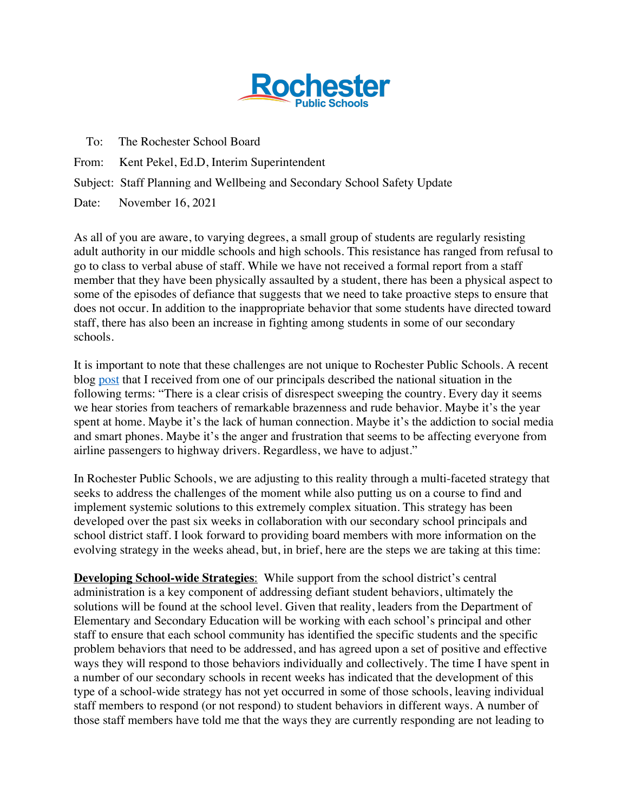

To: The Rochester School Board

From: Kent Pekel, Ed.D, Interim Superintendent

Subject: Staff Planning and Wellbeing and Secondary School Safety Update

Date: November 16, 2021

As all of you are aware, to varying degrees, a small group of students are regularly resisting adult authority in our middle schools and high schools. This resistance has ranged from refusal to go to class to verbal abuse of staff. While we have not received a formal report from a staff member that they have been physically assaulted by a student, there has been a physical aspect to some of the episodes of defiance that suggests that we need to take proactive steps to ensure that does not occur. In addition to the inappropriate behavior that some students have directed toward staff, there has also been an increase in fighting among students in some of our secondary schools.

It is important to note that these challenges are not unique to Rochester Public Schools. A recent blog post that I received from one of our principals described the national situation in the following terms: "There is a clear crisis of disrespect sweeping the country. Every day it seems we hear stories from teachers of remarkable brazenness and rude behavior. Maybe it's the year spent at home. Maybe it's the lack of human connection. Maybe it's the addiction to social media and smart phones. Maybe it's the anger and frustration that seems to be affecting everyone from airline passengers to highway drivers. Regardless, we have to adjust."

In Rochester Public Schools, we are adjusting to this reality through a multi-faceted strategy that seeks to address the challenges of the moment while also putting us on a course to find and implement systemic solutions to this extremely complex situation. This strategy has been developed over the past six weeks in collaboration with our secondary school principals and school district staff. I look forward to providing board members with more information on the evolving strategy in the weeks ahead, but, in brief, here are the steps we are taking at this time:

**Developing School-wide Strategies**: While support from the school district's central administration is a key component of addressing defiant student behaviors, ultimately the solutions will be found at the school level. Given that reality, leaders from the Department of Elementary and Secondary Education will be working with each school's principal and other staff to ensure that each school community has identified the specific students and the specific problem behaviors that need to be addressed, and has agreed upon a set of positive and effective ways they will respond to those behaviors individually and collectively. The time I have spent in a number of our secondary schools in recent weeks has indicated that the development of this type of a school-wide strategy has not yet occurred in some of those schools, leaving individual staff members to respond (or not respond) to student behaviors in different ways. A number of those staff members have told me that the ways they are currently responding are not leading to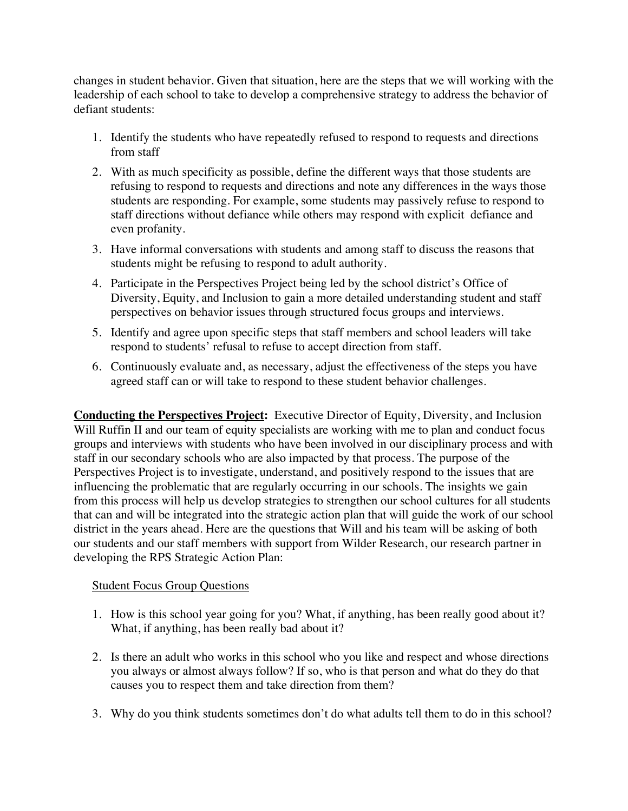changes in student behavior. Given that situation, here are the steps that we will working with the leadership of each school to take to develop a comprehensive strategy to address the behavior of defiant students:

- 1. Identify the students who have repeatedly refused to respond to requests and directions from staff
- 2. With as much specificity as possible, define the different ways that those students are refusing to respond to requests and directions and note any differences in the ways those students are responding. For example, some students may passively refuse to respond to staff directions without defiance while others may respond with explicit defiance and even profanity.
- 3. Have informal conversations with students and among staff to discuss the reasons that students might be refusing to respond to adult authority.
- 4. Participate in the Perspectives Project being led by the school district's Office of Diversity, Equity, and Inclusion to gain a more detailed understanding student and staff perspectives on behavior issues through structured focus groups and interviews.
- 5. Identify and agree upon specific steps that staff members and school leaders will take respond to students' refusal to refuse to accept direction from staff.
- 6. Continuously evaluate and, as necessary, adjust the effectiveness of the steps you have agreed staff can or will take to respond to these student behavior challenges.

**Conducting the Perspectives Project:** Executive Director of Equity, Diversity, and Inclusion Will Ruffin II and our team of equity specialists are working with me to plan and conduct focus groups and interviews with students who have been involved in our disciplinary process and with staff in our secondary schools who are also impacted by that process. The purpose of the Perspectives Project is to investigate, understand, and positively respond to the issues that are influencing the problematic that are regularly occurring in our schools. The insights we gain from this process will help us develop strategies to strengthen our school cultures for all students that can and will be integrated into the strategic action plan that will guide the work of our school district in the years ahead. Here are the questions that Will and his team will be asking of both our students and our staff members with support from Wilder Research, our research partner in developing the RPS Strategic Action Plan:

## Student Focus Group Questions

- 1. How is this school year going for you? What, if anything, has been really good about it? What, if anything, has been really bad about it?
- 2. Is there an adult who works in this school who you like and respect and whose directions you always or almost always follow? If so, who is that person and what do they do that causes you to respect them and take direction from them?
- 3. Why do you think students sometimes don't do what adults tell them to do in this school?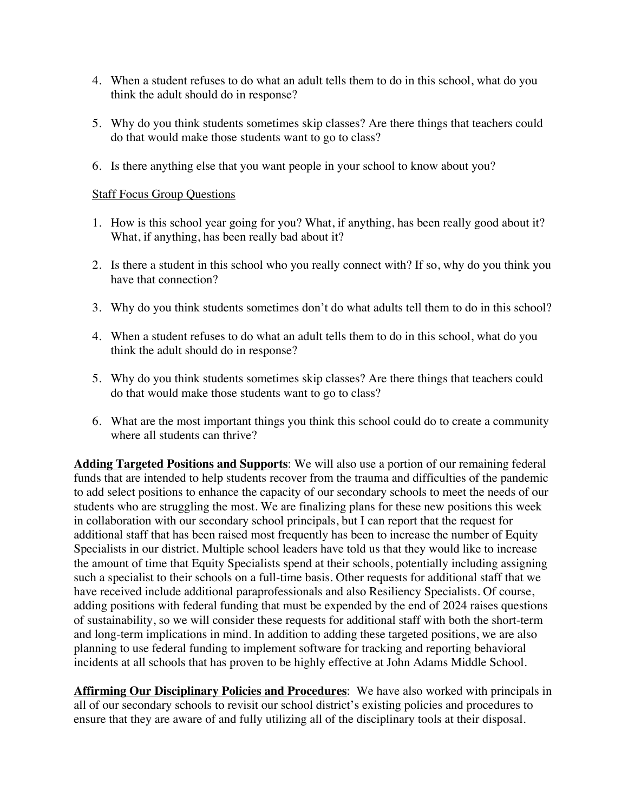- 4. When a student refuses to do what an adult tells them to do in this school, what do you think the adult should do in response?
- 5. Why do you think students sometimes skip classes? Are there things that teachers could do that would make those students want to go to class?
- 6. Is there anything else that you want people in your school to know about you?

## Staff Focus Group Questions

- 1. How is this school year going for you? What, if anything, has been really good about it? What, if anything, has been really bad about it?
- 2. Is there a student in this school who you really connect with? If so, why do you think you have that connection?
- 3. Why do you think students sometimes don't do what adults tell them to do in this school?
- 4. When a student refuses to do what an adult tells them to do in this school, what do you think the adult should do in response?
- 5. Why do you think students sometimes skip classes? Are there things that teachers could do that would make those students want to go to class?
- 6. What are the most important things you think this school could do to create a community where all students can thrive?

**Adding Targeted Positions and Supports**: We will also use a portion of our remaining federal funds that are intended to help students recover from the trauma and difficulties of the pandemic to add select positions to enhance the capacity of our secondary schools to meet the needs of our students who are struggling the most. We are finalizing plans for these new positions this week in collaboration with our secondary school principals, but I can report that the request for additional staff that has been raised most frequently has been to increase the number of Equity Specialists in our district. Multiple school leaders have told us that they would like to increase the amount of time that Equity Specialists spend at their schools, potentially including assigning such a specialist to their schools on a full-time basis. Other requests for additional staff that we have received include additional paraprofessionals and also Resiliency Specialists. Of course, adding positions with federal funding that must be expended by the end of 2024 raises questions of sustainability, so we will consider these requests for additional staff with both the short-term and long-term implications in mind. In addition to adding these targeted positions, we are also planning to use federal funding to implement software for tracking and reporting behavioral incidents at all schools that has proven to be highly effective at John Adams Middle School.

**Affirming Our Disciplinary Policies and Procedures**: We have also worked with principals in all of our secondary schools to revisit our school district's existing policies and procedures to ensure that they are aware of and fully utilizing all of the disciplinary tools at their disposal.